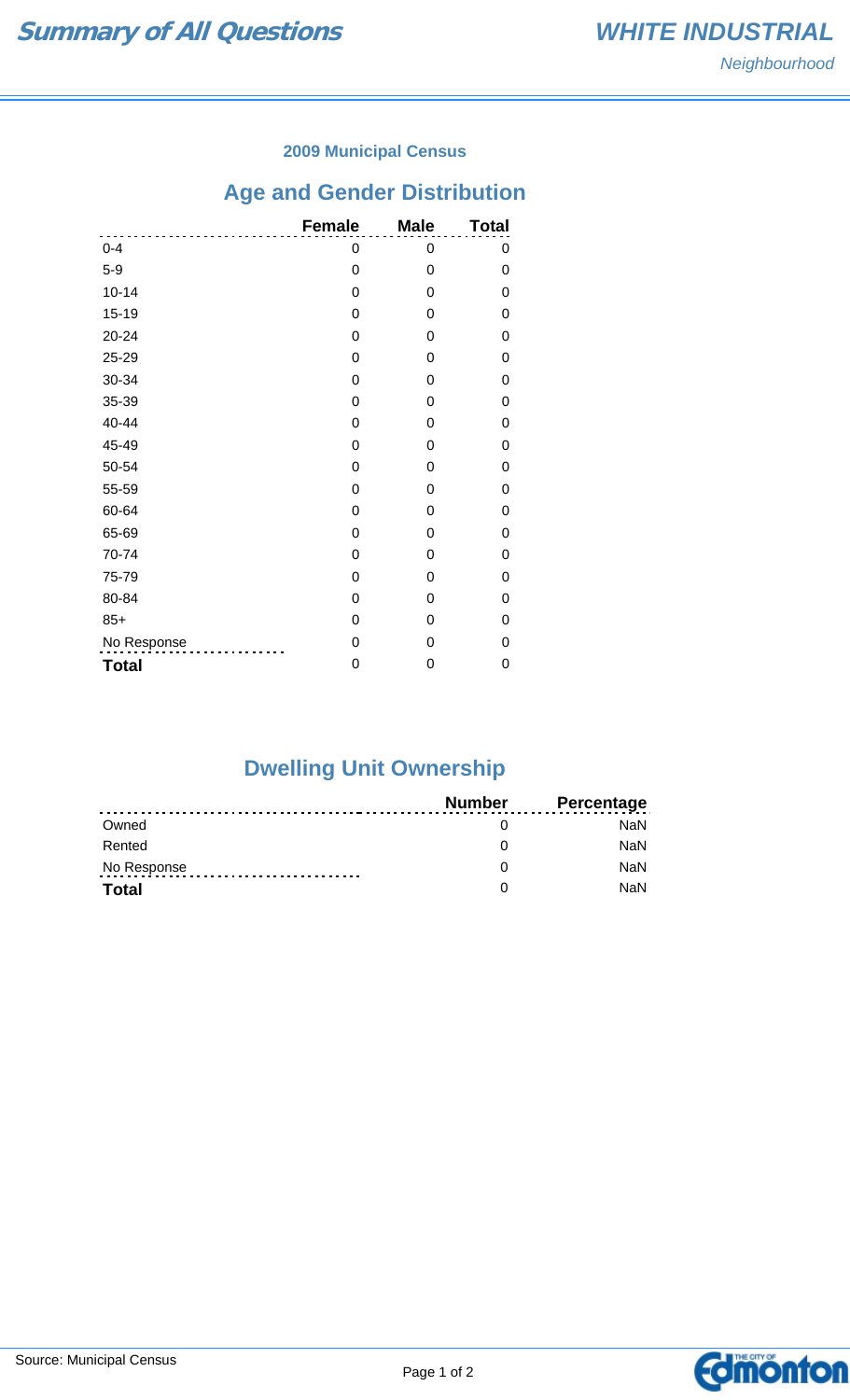### **2009 Municipal Census**

# **Age and Gender Distribution**

|              | <b>Female</b> | <b>Male</b> | <b>Total</b> |
|--------------|---------------|-------------|--------------|
| $0 - 4$      | 0             | 0           | 0            |
| $5-9$        | $\mathbf 0$   | 0           | 0            |
| $10 - 14$    | $\mathbf 0$   | 0           | 0            |
| $15 - 19$    | $\mathbf 0$   | 0           | 0            |
| 20-24        | $\mathbf 0$   | 0           | 0            |
| 25-29        | $\mathbf 0$   | 0           | 0            |
| 30-34        | 0             | 0           | 0            |
| 35-39        | $\mathbf 0$   | 0           | 0            |
| 40-44        | 0             | 0           | 0            |
| 45-49        | 0             | 0           | 0            |
| 50-54        | $\mathbf 0$   | 0           | 0            |
| 55-59        | $\mathbf 0$   | 0           | 0            |
| 60-64        | 0             | 0           | 0            |
| 65-69        | 0             | 0           | 0            |
| 70-74        | 0             | 0           | 0            |
| 75-79        | 0             | 0           | 0            |
| 80-84        | $\mathbf 0$   | 0           | 0            |
| $85+$        | 0             | 0           | 0            |
| No Response  | $\mathbf 0$   | 0           | 0            |
| <b>Total</b> | 0             | 0           | 0            |

## **Dwelling Unit Ownership**

|              | Number | <b>Percentage</b> |
|--------------|--------|-------------------|
| Owned        |        | NaN.              |
| Rented       |        | <b>NaN</b>        |
| No Response  |        | <b>NaN</b>        |
| <b>Total</b> |        | <b>NaN</b>        |